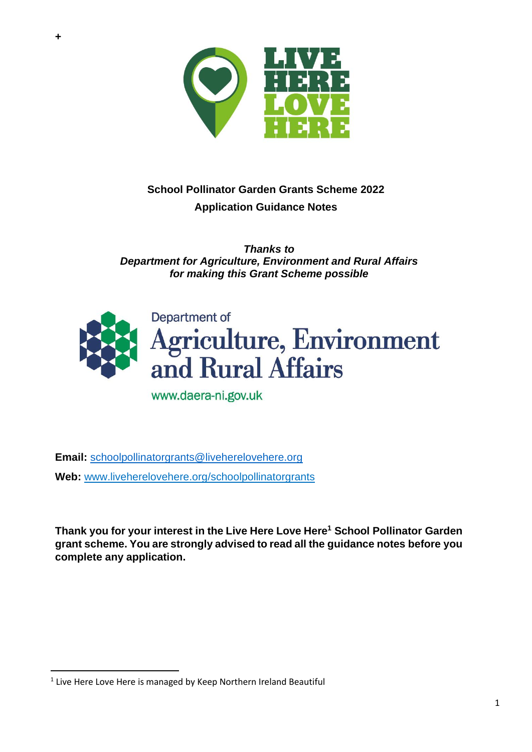

# **School Pollinator Garden Grants Scheme 2022 Application Guidance Notes**

*Thanks to Department for Agriculture, Environment and Rural Affairs for making this Grant Scheme possible*



www.daera-ni.gov.uk

**Email:** [schoolpollinatorgrants@liveherelovehere.org](mailto:schoolpollinatorgrants@liveherelovehere.org) **Web:** [www.liveherelovehere.org/](http://www.liveherelovehere.org/)schoolpollinatorgrants

**Thank you for your interest in the Live Here Love Here<sup>1</sup> School Pollinator Garden grant scheme. You are strongly advised to read all the guidance notes before you complete any application.**

 $<sup>1</sup>$  Live Here Love Here is managed by Keep Northern Ireland Beautiful</sup>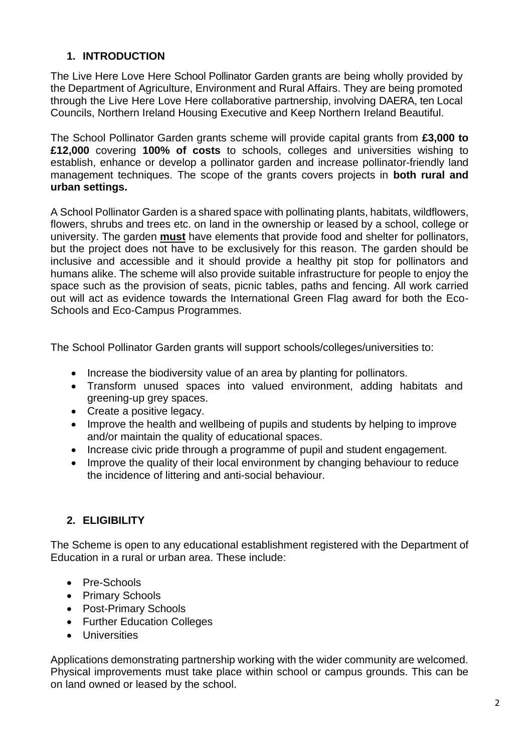# **1. INTRODUCTION**

The Live Here Love Here School Pollinator Garden grants are being wholly provided by the Department of Agriculture, Environment and Rural Affairs. They are being promoted through the Live Here Love Here collaborative partnership, involving DAERA, ten Local Councils, Northern Ireland Housing Executive and Keep Northern Ireland Beautiful.

The School Pollinator Garden grants scheme will provide capital grants from **£3,000 to £12,000** covering **100% of costs** to schools, colleges and universities wishing to establish, enhance or develop a pollinator garden and increase pollinator-friendly land management techniques. The scope of the grants covers projects in **both rural and urban settings.**

A School Pollinator Garden is a shared space with pollinating plants, habitats, wildflowers, flowers, shrubs and trees etc. on land in the ownership or leased by a school, college or university. The garden **must** have elements that provide food and shelter for pollinators, but the project does not have to be exclusively for this reason. The garden should be inclusive and accessible and it should provide a healthy pit stop for pollinators and humans alike. The scheme will also provide suitable infrastructure for people to enjoy the space such as the provision of seats, picnic tables, paths and fencing. All work carried out will act as evidence towards the International Green Flag award for both the Eco-Schools and Eco-Campus Programmes.

The School Pollinator Garden grants will support schools/colleges/universities to:

- Increase the biodiversity value of an area by planting for pollinators.
- Transform unused spaces into valued environment, adding habitats and greening-up grey spaces.
- Create a positive legacy.
- Improve the health and wellbeing of pupils and students by helping to improve and/or maintain the quality of educational spaces.
- Increase civic pride through a programme of pupil and student engagement.
- Improve the quality of their local environment by changing behaviour to reduce the incidence of littering and anti-social behaviour.

#### **2. ELIGIBILITY**

The Scheme is open to any educational establishment registered with the Department of Education in a rural or urban area. These include:

- Pre-Schools
- Primary Schools
- Post-Primary Schools
- Further Education Colleges
- Universities

Applications demonstrating partnership working with the wider community are welcomed. Physical improvements must take place within school or campus grounds. This can be on land owned or leased by the school.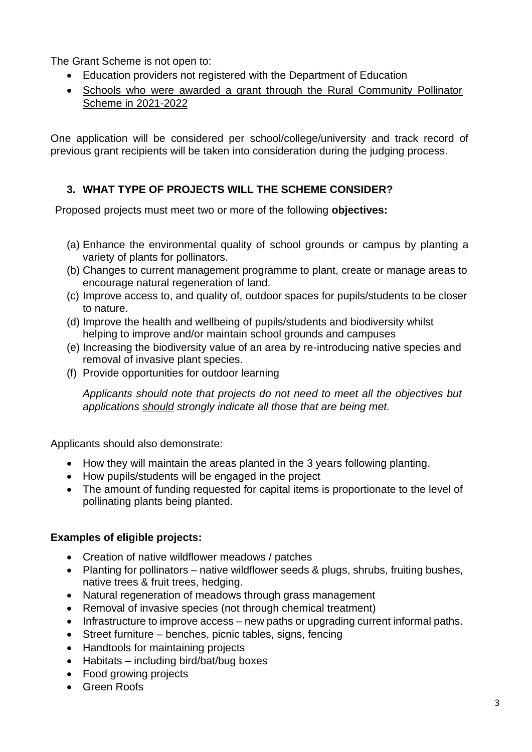The Grant Scheme is not open to:

- Education providers not registered with the Department of Education
- Schools who were awarded a grant through the Rural Community Pollinator Scheme in 2021-2022

One application will be considered per school/college/university and track record of previous grant recipients will be taken into consideration during the judging process.

# **3. WHAT TYPE OF PROJECTS WILL THE SCHEME CONSIDER?**

Proposed projects must meet two or more of the following **objectives:**

- (a) Enhance the environmental quality of school grounds or campus by planting a variety of plants for pollinators.
- (b) Changes to current management programme to plant, create or manage areas to encourage natural regeneration of land.
- (c) Improve access to, and quality of, outdoor spaces for pupils/students to be closer to nature.
- (d) Improve the health and wellbeing of pupils/students and biodiversity whilst helping to improve and/or maintain school grounds and campuses
- (e) Increasing the biodiversity value of an area by re-introducing native species and removal of invasive plant species.
- (f) Provide opportunities for outdoor learning

*Applicants should note that projects do not need to meet all the objectives but applications should strongly indicate all those that are being met.*

Applicants should also demonstrate:

- How they will maintain the areas planted in the 3 years following planting.
- How pupils/students will be engaged in the project
- The amount of funding requested for capital items is proportionate to the level of pollinating plants being planted.

#### **Examples of eligible projects:**

- Creation of native wildflower meadows / patches
- Planting for pollinators native wildflower seeds & plugs, shrubs, fruiting bushes, native trees & fruit trees, hedging.
- Natural regeneration of meadows through grass management
- Removal of invasive species (not through chemical treatment)
- Infrastructure to improve access new paths or upgrading current informal paths.
- Street furniture benches, picnic tables, signs, fencing
- Handtools for maintaining projects
- Habitats including bird/bat/bug boxes
- Food growing projects
- Green Roofs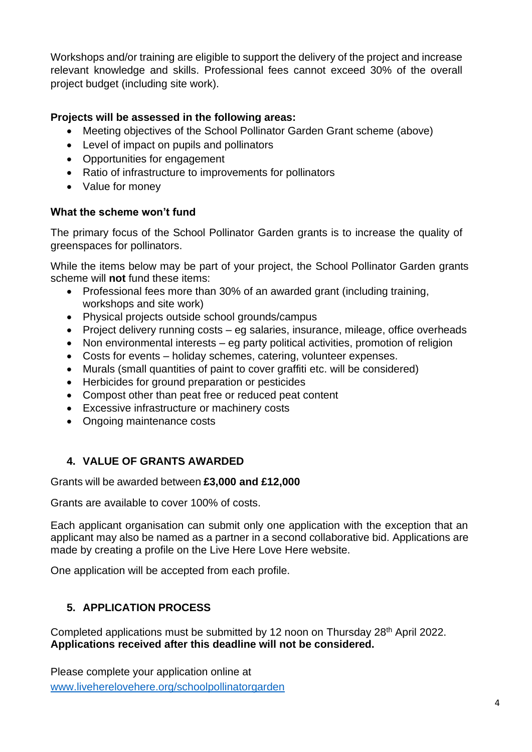Workshops and/or training are eligible to support the delivery of the project and increase relevant knowledge and skills. Professional fees cannot exceed 30% of the overall project budget (including site work).

### **Projects will be assessed in the following areas:**

- Meeting objectives of the School Pollinator Garden Grant scheme (above)
- Level of impact on pupils and pollinators
- Opportunities for engagement
- Ratio of infrastructure to improvements for pollinators
- Value for money

#### **What the scheme won't fund**

The primary focus of the School Pollinator Garden grants is to increase the quality of greenspaces for pollinators.

While the items below may be part of your project, the School Pollinator Garden grants scheme will **not** fund these items:

- Professional fees more than 30% of an awarded grant (including training, workshops and site work)
- Physical projects outside school grounds/campus
- Project delivery running costs eg salaries, insurance, mileage, office overheads
- Non environmental interests eg party political activities, promotion of religion
- Costs for events holiday schemes, catering, volunteer expenses.
- Murals (small quantities of paint to cover graffiti etc. will be considered)
- Herbicides for ground preparation or pesticides
- Compost other than peat free or reduced peat content
- Excessive infrastructure or machinery costs
- Ongoing maintenance costs

# **4. VALUE OF GRANTS AWARDED**

#### Grants will be awarded between **£3,000 and £12,000**

Grants are available to cover 100% of costs.

Each applicant organisation can submit only one application with the exception that an applicant may also be named as a partner in a second collaborative bid. Applications are made by creating a profile on the Live Here Love Here website.

One application will be accepted from each profile.

# **5. APPLICATION PROCESS**

Completed applications must be submitted by 12 noon on Thursday 28<sup>th</sup> April 2022. **Applications received after this deadline will not be considered.** 

Please complete your application online at [www.liveherelovehere.org/schoolpollinatorgarden](http://www.liveherelovehere.org/schoolpollinatorgarden)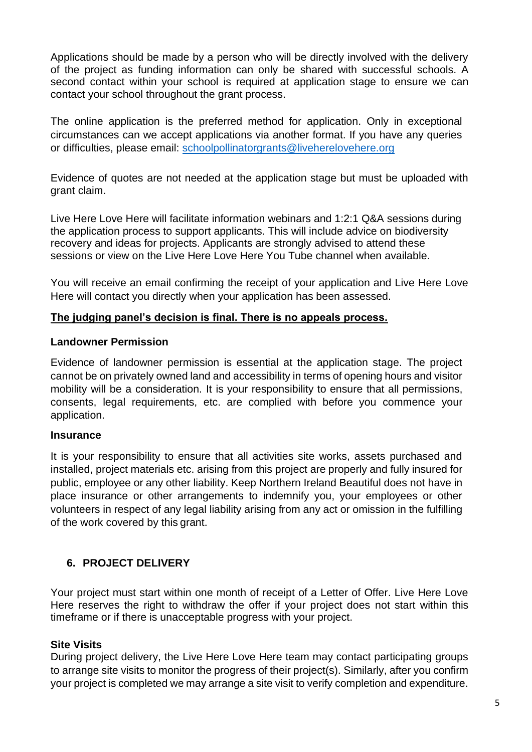Applications should be made by a person who will be directly involved with the delivery of the project as funding information can only be shared with successful schools. A second contact within your school is required at application stage to ensure we can contact your school throughout the grant process.

The online application is the preferred method for application. Only in exceptional circumstances can we accept applications via another format. If you have any queries or difficulties, please email: [schoolpollinatorgrants@liveherelovehere.org](mailto:schoolpollinatorgrants@liveherelovehere.org)

Evidence of quotes are not needed at the application stage but must be uploaded with grant claim.

Live Here Love Here will facilitate information webinars and 1:2:1 Q&A sessions during the application process to support applicants. This will include advice on biodiversity recovery and ideas for projects. Applicants are strongly advised to attend these sessions or view on the Live Here Love Here You Tube channel when available.

You will receive an email confirming the receipt of your application and Live Here Love Here will contact you directly when your application has been assessed.

#### **The judging panel's decision is final. There is no appeals process.**

#### **Landowner Permission**

Evidence of landowner permission is essential at the application stage. The project cannot be on privately owned land and accessibility in terms of opening hours and visitor mobility will be a consideration. It is your responsibility to ensure that all permissions, consents, legal requirements, etc. are complied with before you commence your application.

#### **Insurance**

It is your responsibility to ensure that all activities site works, assets purchased and installed, project materials etc. arising from this project are properly and fully insured for public, employee or any other liability. Keep Northern Ireland Beautiful does not have in place insurance or other arrangements to indemnify you, your employees or other volunteers in respect of any legal liability arising from any act or omission in the fulfilling of the work covered by this grant.

# **6. PROJECT DELIVERY**

Your project must start within one month of receipt of a Letter of Offer. Live Here Love Here reserves the right to withdraw the offer if your project does not start within this timeframe or if there is unacceptable progress with your project.

#### **Site Visits**

During project delivery, the Live Here Love Here team may contact participating groups to arrange site visits to monitor the progress of their project(s). Similarly, after you confirm your project is completed we may arrange a site visit to verify completion and expenditure.